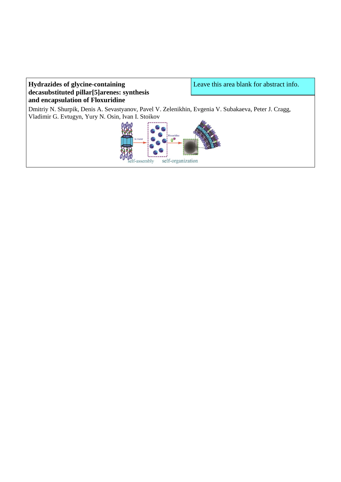# **Hydrazides of glycine-containing decasubstituted pillar[5]arenes: synthesis and encapsulation of Floxuridine**

Leave this area blank for abstract info.

Dmitriy N. Shurpik, Denis A. Sevastyanov, Pavel V. Zelenikhin, Evgenia V. Subakaeva, Peter J. Cragg, Vladimir G. Evtugyn, Yury N. Osin, Ivan I. Stoikov

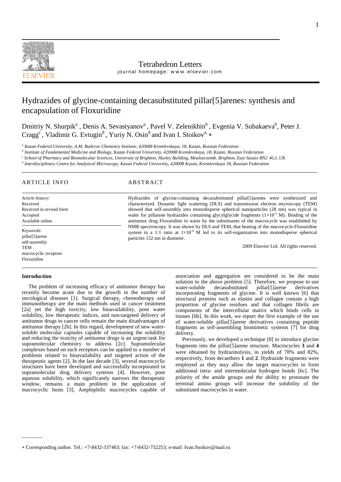

# Tetrahedron Letters

journal homepage: www.elsevier.com

# Hydrazides of glycine-containing decasubstituted pillar[5]arenes: synthesis and encapsulation of Floxuridine

Dmitriy N. Shurpik<sup>a</sup>, Denis A. Sevastyanov<sup>a</sup>, Pavel V. Zelenikhin<sup>b</sup>, Evgenia V. Subakaeva<sup>b</sup>, Peter J. Cragg<sup>c</sup>, Vladimir G. Evtugin<sup>d</sup>, Yuriy N. Osin<sup>d</sup> and Ivan I. Stoikov<sup>a, \*</sup>

*<sup>a</sup> Kazan Federal University, A.M. Butlerov Chemistry Institute, 420008 Kremlevskaya, 18, Kazan, Russian Federation*

*b Institute of Fundamental Medicine and Biology, Kazan Federal University, 420008 Kremlevskaya, 18, Kazan, Russian Federation*

*c School of Pharmacy and Biomolecular Sciences, University of Brighton, Huxley Building, Moulsecoomb. Brighton, East Sussex BN2 4GJ, UK*

*d Interdisciplinary Centre for Analytical Microscopy, Kazan Federal University, 420008 Kazan, Kremlevskaya 18, Russian Federation*

## ARTICLE INFO ABSTRACT

*Article history:* Received Received in revised form Accepted Available online *Keywords:* pillar[5]arene

self-assembly TEM macrocyclic receptors Floxuridine

### **Introduction**

———

The problem of increasing efficacy of antitumor therapy has recently become acute due to the growth in the number of oncological diseases [1]. Surgical therapy, chemotherapy and immunotherapy are the main methods used in cancer treatment [2a] yet the high toxicity, low bioavailability, poor water solubility, low therapeutic indices, and non-targeted delivery of antitumor drugs to cancer cells remain the main disadvantages of antitumor therapy [2b]. In this regard, development of new watersoluble molecular capsules capable of increasing the solubility and reducing the toxicity of antitumor drugs is an urgent task for supramolecular chemistry to address [2c]. Supramolecular complexes based on such receptors can be applied to a number of problems related to bioavailability and targeted action of the therapeutic agents [2]. In the last decade [3], several macrocyclic structures have been developed and successfully incorporated in supramolecular drug delivery systems [4]. However, poor aqueous solubility, which significantly narrows the therapeutic window, remains a main problem in the application of macrocyclic hosts [3]. Amphiphilic macrocycles capable of

Hydrazides of glycine-containing decasubstituted pillar[5]arenes were synthesized and characterized. Dynamic light scattering (DLS) and transmission electron microscopy (TEM) showed that self-assembly into monodisperse spherical nanoparticles (28 nm) was typical in water for pillarene hydrazides containing glycylglycide fragments  $(1\times10^{-3}$  M). Binding of the antitumor drug Floxuridine in water by the substituents of the macrocycle was established by NMR spectroscopy. It was shown by DLS and TEM, that heating of the macrocycle-Floxuridine system in a 1:1 ratio at  $1\times10^{-4}$  M led to its self-organization into monodisperse spherical particles 132 nm in diameter.

2009 Elsevier Ltd. All rights reserved.

association and aggregation are considered to be the main solution to the above problem [5]. Therefore, we propose to use water-soluble decasubstituted pillar[5]arene derivatives incorporating fragments of glycine. It is well known [6] that structural proteins such as elastin and collagen contain a high proportion of glycine residues and that collagen fibrils are components of the intercellular matrix which binds cells in tissues [6b]. In this work, we report the first example of the use of water-soluble pillar[5]arene derivatives containing peptide fragments as self-assembling biomimetic systems [7] for drug delivery.

Previously, we developed a technique [8] to introduce glycine fragments into the pillar[5]arene structure. Macrocycles **3** and **4** were obtained by hydrazinolysis, in yields of 78% and 82%, respectively, from decaethers **1** and **2**. Hydrazide fragments were employed as they may allow the target macrocycles to form additional intra- and intermolecular hydrogen bonds [6c]. The polarity of the amide groups and the ability to protonate the terminal amino groups will increase the solubility of the substituted macrocycles in water.

Corresponding author. Tel.: +7-8432-337463; fax: +7-8432-752253; e-mail: Ivan.Stoikov@mail.ru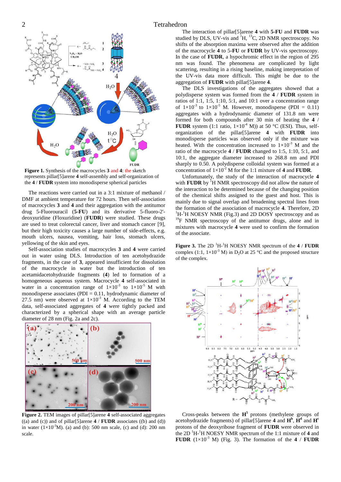

**Figure 1.** Synthesis of the macrocycles **3** and **4**: the sketch represents pillar[5]arene **4** self-assembly and self-organization of the **4** / **FUDR** system into monodisperse spherical particles

The reactions were carried out in a 3:1 mixture of methanol / DMF at ambient temperature for 72 hours. Then self-association of macrocycles **3** and **4** and their aggregation with the antitumor drug 5-Fluorouracil (**5-FU**) and its derivative 5-fluoro-2' deoxyuridine (Floxuridine) (**FUDR**) were studied. These drugs are used to treat colorectal cancer, liver and stomach cancer [9], but their high toxicity causes a large number of side-effects, e.g. mouth ulcers, nausea, vomiting, hair loss, stomach ulcers, yellowing of the skin and eyes.

Self-association studies of macrocycles **3** and **4** were carried out in water using DLS. Introduction of ten acetohydrazide fragments, in the case of **3**, appeared insufficient for dissolution of the macrocycle in water but the introduction of ten acetamidacetohydrazide fragments (**4**) led to formation of a homogeneous aqueous system. Macrocycle **4** self-associated in water in a concentration range of  $1\times10^{-3}$  to  $1\times10^{-5}$  M with monodisperse associates (PDI  $= 0.11$ , hydrodynamic diameter of 27.5 nm) were observed at  $1\times10^{-3}$  M. According to the TEM data, self-associated aggregates of **4** were tightly packed and characterized by a spherical shape with an average particle diameter of 28 nm (Fig. 2a and 2c).



**Figure 2.** TEM images of pillar[5]arene **4** self-associated aggregates  $((a)$  and  $((c))$  and of pillar<sup>[5]</sup>arene **4** / **FUDR** associates  $((b)$  and  $((d))$ in water  $(1\times10^{-3}M)$ . (a) and (b): 500 nm scale, (c) and (d): 200 nm scale.

The interaction of pillar[5]arene **4** with **5-FU** and **FUDR** was studied by DLS, UV-vis and <sup>1</sup>H, <sup>13</sup>C, 2D NMR spectroscopy. No shifts of the absorption maxima were observed after the addition of the macrocycle **4** to 5**-FU** or **FUDR** by UV-vis spectroscopy. In the case of **FUDR**, a hypochromic effect in the region of 295 nm was found. The phenomena are complicated by light scattering, resulting in a rising baseline, making interpretation of the UV-vis data more difficult. This might be due to the aggregation of **FUDR** with pillar[5]arene **4**.

The DLS investigations of the aggregates showed that a polydisperse system was formed from the **4** / **FUDR** system in ratios of 1:1, 1:5, 1:10, 5:1, and 10:1 over a concentration range of  $1 \times 10^{-3}$  to  $1 \times 10^{-5}$  M. However, monodisperse (PDI = 0.11) aggregates with a hydrodynamic diameter of 131.8 nm were formed for both compounds after 30 min of heating the **4** / **FUDR** system (1:1 ratio,  $1\times10^{-4}$  M)) at 50 °C (ESI). Thus, selforganization of the pillar[5]arene **4** with **FUDR** into monodisperse particles was observed only if the mixture was heated. With the concentration increased to  $1\times10^{-3}$  M and the ratio of the macrocycle **4** / **FUDR** changed to 1:5, 1:10, 5:1, and 10:1, the aggregate diameter increased to 268.8 nm and PDI sharply to 0.50. A polydisperse colloidal system was formed at a concentration of  $1 \times 10^{-2}$  M for the 1:1 mixture of 4 and **FUDR**.

Unfortunately, the study of the interaction of macrocycle **4** with **FUDR** by <sup>1</sup>H NMR spectroscopy did not allow the nature of the interaction to be determined because of the changing position of the chemical shifts assigned to the guest and host. This is mainly due to signal overlap and broadening spectral lines from the formation of the association of macrocycle **4**. Therefore, 2D  ${}^{1}$ H- ${}^{1}$ H NOESY NMR (Fig.3) and 2D DOSY spectroscopy and as <sup>19</sup>F NMR spectroscopy of the antitumor drugs, alone and in mixtures with macrocycle **4** were used to confirm the formation of the associate.

**Figure 3.** The 2D <sup>1</sup>H-<sup>1</sup>H NOESY NMR spectrum of the **4** / **FUDR** complex (1:1,  $1 \times 10^{-3}$  M) in D<sub>2</sub>O at 25 °C and the proposed structure of the complex.



Cross-peaks between the  $H^5$  protons (methylene groups of acetohydrazide fragments) of pillar<sup>[5]</sup> arene 4 and  $\mathbf{H}^{\text{b}}$ ,  $\mathbf{H}^{\text{d}}$  and  $\mathbf{H}^{\text{c}}$ protons of the deoxyribose fragment of **FUDR** were observed in the  $2D<sup>1</sup>H<sup>-1</sup>H NOESY NMR spectrum of the 1:1 mixture of 4 and$ **FUDR**  $(1 \times 10^{-3}$  M) (Fig. 3). The formation of the **4** / **FUDR**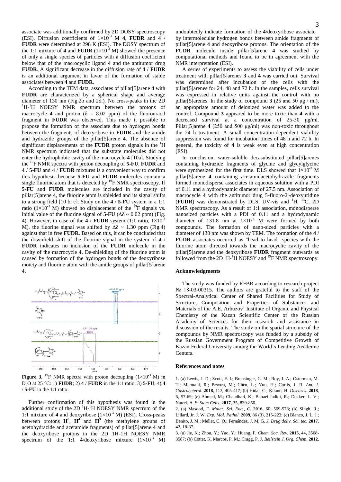associate was additionally confirmed by 2D DOSY spectroscopy (ESI). Diffusion coefficients of  $1 \times 10^{-3}$  M **4**, **FUDR** and **4** / **FUDR** were determined at 298 K (ESI). The DOSY spectrum of the 1:1 mixture of **4** and **FUDR**  $(1 \times 10^{-3} \text{ M})$  showed the presence of only a single species of particles with a diffusion coefficient below that of the macrocyclic ligand **4** and the antitumor drug **FUDR**. A significant decrease in the diffusion rate of **4** / **FUDR** is an additional argument in favor of the formation of stable associates between **4** and **FUDR**.

According to the TEM data, associates of pillar[5]arene **4** with **FUDR** are characterized by a spherical shape and average diameter of 130 nm (Fig.2b and 2d.). No cross-peaks in the 2D <sup>1</sup>H-<sup>1</sup>H NOESY NMR spectrum between the protons of macrocycle **4** and proton ( $\delta = 8.02$  ppm) of the fluorouracil fragment in **FUDR** was observed. This made it possible to propose the formation of the associate due to hydrogen bonds between the fragments of deoxyribose in **FUDR** and the amide and hydrazide groups of the pillar[5]arene **4**. The absence of significant displacements of the **FUDR** proton signals in the <sup>1</sup>H NMR spectrum indicated that the substrate molecules did not enter the hydrophobic cavity of the macrocycle **4** [10a]. Studying the <sup>19</sup>F NMR spectra with proton decoupling of **5-FU**, **FUDR** and **4** / **5-FU** and **4** / **FUDR** mixtures is a convenient way to confirm this hypothesis because **5-FU** and **FUDR** molecules contain a single fluorine atom that is detected by  ${}^{19}$ F NMR spectroscopy. If **5-FU** and **FUDR** molecules are included in the cavity of pillar[5]arene **4**, the fluorine atom is shielded and its signal shifts to a strong field [10 b, c]. Study on the **4** / **5-FU** system in a 1:1 ratio  $(1\times10^{-3}$  M) showed no displacement of the <sup>19</sup>F signals vs. initial value of the fluorine signal of **5-FU** ( $\Delta\delta \sim 0.02$  ppm) (Fig. 4). However, in case of the  $\overline{4}$  / **FUDR** system (1:1 ratio,  $1 \times 10^{-3}$ M), the fluorine signal was shifted by  $\Delta\delta \sim 1.30$  ppm (Fig.4) against that in free **FUDR**. Based on this, it can be concluded that the downfield shift of the fluorine signal in the system of **4** / **FUDR** indicates no inclusion of the **FUDR** molecule in the cavity of the macrocycle **4**. De-shielding of the fluorine atom is caused by formation of the hydrogen bonds of the deoxyribose moiety and fluorine atom with the amide groups of pillar[5]arene **4**.



**Figure 3.** <sup>19</sup>F NMR spectra with proton decoupling  $(1\times10^{-3}$  M) in D2O at 25 °C: 1) **FUDR**; 2) **4** / **FUDR** in the 1:1 ratio; 3) **5-FU**; 4) **4** / **5-FU** in the 1:1 ratio.

Further confirmation of this hypothesis was found in the additional study of the 2D  ${}^{1}H-{}^{1}H$  NOESY NMR spectrum of the 1:1 mixture of **4** and deoxyribose  $(1 \times 10^{-3} \text{ M})$  (ESI). Cross-peaks between protons  $H^5$ ,  $H^4$  and  $H^3$  (the methylene groups of acetohydrazide and acetamide fragments) of pillar[5]arene **4** and the deoxyribose protons in the 2D 1H-1H NOESY NMR spectrum of the 1:1  $4$ /deoxyribose mixture  $(1 \times 10^{-3}$  M)

undoubtedly indicate formation of the **4**/deoxyribose associate by intermolecular hydrogen bonds between amide fragments of pillar[5]arene **4** and deoxyribose protons. The orientation of the **FUDR** molecule inside pillar[5]arene **4** was studied by computational methods and found to be in agreement with the NMR interpretation (ESI).

A series of experiments to assess the viability of cells under treatment with pillar[5]arenes **3** and **4** was carried out. Survival was determined after incubation of the cells with the pillar[5]arenes for 24, 48 and 72 h. In the samples, cells survival was expressed in relative units against the control with no pillar<sup>[5]</sup>arenes. In the study of compound **3** (25 and 50  $\mu$ g / ml), an appropriate amount of deionized water was added to the control. Compound **3** appeared to be more toxic than **4** with a decreased survival at a concentration of 25-50 μg/ml. Pillar[5]arene **4** (250 and 500 μg/ml) was non-toxic throughout the 24 h treatment. A small concentration-dependent viability suppression was found for incubation times of 48 h and 72 h. In general, the toxicity of **4** is weak even at high concentration (ESI).

In conclusion, water-soluble decasubstituted pillar[5]arenes containing hydrazide fragments of glycine and glycylglycine were synthesized for the first time. DLS showed that  $1\times10^{-3}$  M pillar[5]arene **4** containing acetamidacetohydrazide fragments formed monodisperse associates in aqueous solution with a PDI of 0.11 and a hydrodynamic diameter of 27.5 nm. Association of macrocycle **4** with the antitumor drug 5-fluoro-2'-deoxyuridine (**FUDR**) was demonstrated by DLS, UV-vis and  ${}^{1}H$ ,  ${}^{13}C$ , 2D NMR spectroscopy. As a result of 1:1 association, monodisperse nanosized particles with a PDI of 0.11 and a hydrodynamic diameter of 131.8 nm at  $1\times10^{-4}$  M were formed by both compounds. The formation of nano-sized particles with a diameter of 130 nm was shown by TEM. The formation of the **4** / **FUDR** associates occurred as "head to head" species with the fluorine atom directed towards the macrocyclic cavity of the pillar[5]arene and the deoxyribose **FUDR** fragment outwards as followed from the 2D  ${}^{1}H - {}^{1}H$  NOESY and  ${}^{19}F$  NMR spectroscopy.

### **Acknowledgments**

The study was funded by RFBR according to research project № 18-03-00315. The authors are grateful to the staff of the Spectral-Analytical Center of Shared Facilities for Study of Structure, Composition and Properties of Substances and Materials of the A.E. Arbuzov' Institute of Organic and Physical Chemistry of the Kazan Scientific Center of the Russian Academy of Sciences for their research and assistance in discussion of the results. The study on the spatial structure of the compounds by NMR spectroscopy was funded by a subsidy of the Russian Government Program of Competitive Growth of Kazan Federal University among the World's Leading Academic Centers.

### **References and notes**

1. (a) Lewis, J. D.; Scott, F. I.; Brensinger, C. M.; Roy, J. A.; Osterman, M. T.; Mamtani, R.; Bewtra, M.; Chen, L.; Yun, H.; Curtis, J. R. *Am. J. Gastroenterol*. **2018**, 113, 405-417; (b) Hidai, C.; Kitano, H. *Diseases*. **2018**, 6, 57-69; (с) Ahmed, M.; Chaudhari, K.; Babaei-Jadidi, R.; Dekker, L. V.; Nateri, A. S. *Stem Cells.* **2017**, 35, 839-850.

2. (a) Masood, F. *Mater. Sci. Eng., C.* **2016**, 60, 569-578; (b) Singh, R.; Lillard, Jr. J. W. *Exp. Mol. Pathol.* **2009**, 86 (3), 215-223; (с) Blanco, J. L. J.; Benito, J. M.; Mellet, C. O.; Fernández, J. M. G. *J. Drug deliv. Sci. tec.* **2017**, 42, 18-37.

3. (a) Jie, K.; Zhou, Y.; Yao, Y.; Huang, F. *Chem. Soc. Rev.* **2015**, 44, 3568- 3587; (b) Cottet, K. Marcos, P. M.; Cragg, P. J. *Beilstein J. Org. Chem*. **2012**,